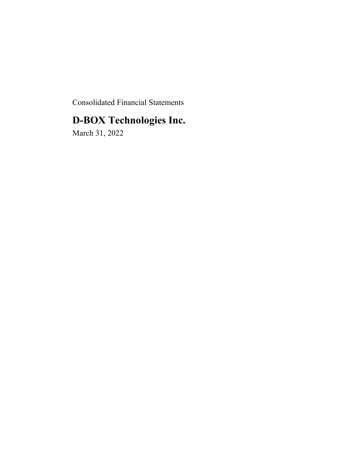Consolidated Financial Statements

# **D-BOX Technologies Inc.**

March 31, 2022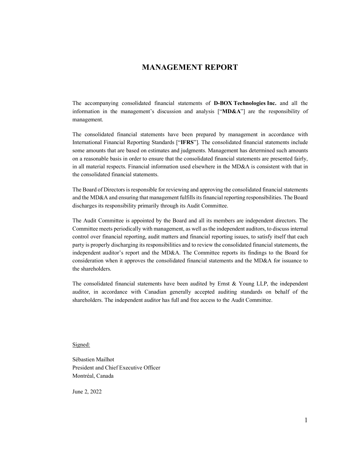## **MANAGEMENT REPORT**

The accompanying consolidated financial statements of **D-BOX Technologies Inc.** and all the information in the management's discussion and analysis ["**MD&A**"] are the responsibility of management.

The consolidated financial statements have been prepared by management in accordance with International Financial Reporting Standards ["**IFRS**"]. The consolidated financial statements include some amounts that are based on estimates and judgments. Management has determined such amounts on a reasonable basis in order to ensure that the consolidated financial statements are presented fairly, in all material respects. Financial information used elsewhere in the MD&A is consistent with that in the consolidated financial statements.

The Board of Directors is responsible for reviewing and approving the consolidated financial statements and the MD&A and ensuring that management fulfills its financial reporting responsibilities. The Board discharges its responsibility primarily through its Audit Committee.

The Audit Committee is appointed by the Board and all its members are independent directors. The Committee meets periodically with management, as well as the independent auditors, to discuss internal control over financial reporting, audit matters and financial reporting issues, to satisfy itself that each party is properly discharging its responsibilities and to review the consolidated financial statements, the independent auditor's report and the MD&A. The Committee reports its findings to the Board for consideration when it approves the consolidated financial statements and the MD&A for issuance to the shareholders.

The consolidated financial statements have been audited by Ernst & Young LLP, the independent auditor, in accordance with Canadian generally accepted auditing standards on behalf of the shareholders. The independent auditor has full and free access to the Audit Committee.

#### Signed:

Sébastien Mailhot President and Chief Executive Officer Montréal, Canada

June 2, 2022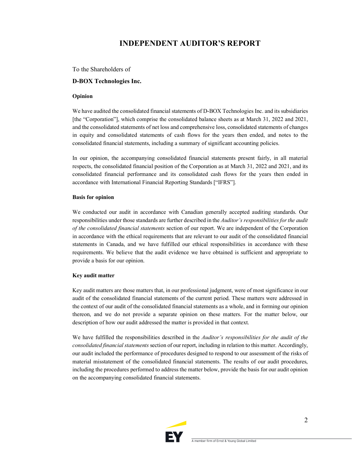# **INDEPENDENT AUDITOR'S REPORT**

### To the Shareholders of

### **D-BOX Technologies Inc.**

#### **Opinion**

We have audited the consolidated financial statements of D-BOX Technologies Inc. and its subsidiaries [the "Corporation"], which comprise the consolidated balance sheets as at March 31, 2022 and 2021, and the consolidated statements of net loss and comprehensive loss, consolidated statements of changes in equity and consolidated statements of cash flows for the years then ended, and notes to the consolidated financial statements, including a summary of significant accounting policies.

In our opinion, the accompanying consolidated financial statements present fairly, in all material respects, the consolidated financial position of the Corporation as at March 31, 2022 and 2021, and its consolidated financial performance and its consolidated cash flows for the years then ended in accordance with International Financial Reporting Standards ["IFRS"].

#### **Basis for opinion**

We conducted our audit in accordance with Canadian generally accepted auditing standards. Our responsibilities under those standards are further described in the *Auditor's responsibilities for the audit of the consolidated financial statements* section of our report. We are independent of the Corporation in accordance with the ethical requirements that are relevant to our audit of the consolidated financial statements in Canada, and we have fulfilled our ethical responsibilities in accordance with these requirements. We believe that the audit evidence we have obtained is sufficient and appropriate to provide a basis for our opinion.

### **Key audit matter**

Key audit matters are those matters that, in our professional judgment, were of most significance in our audit of the consolidated financial statements of the current period. These matters were addressed in the context of our audit of the consolidated financial statements as a whole, and in forming our opinion thereon, and we do not provide a separate opinion on these matters. For the matter below, our description of how our audit addressed the matter is provided in that context.

We have fulfilled the responsibilities described in the *Auditor's responsibilities for the audit of the consolidated financial statements* section of our report, including in relation to this matter. Accordingly, our audit included the performance of procedures designed to respond to our assessment of the risks of material misstatement of the consolidated financial statements. The results of our audit procedures, including the procedures performed to address the matter below, provide the basis for our audit opinion on the accompanying consolidated financial statements.

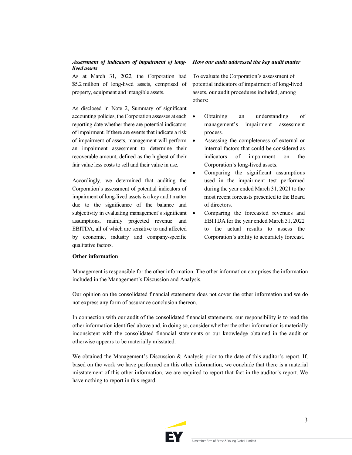#### *Assessment of indicators of impairment of longlived assets*

As at March 31, 2022, the Corporation had \$5.2 million of long-lived assets, comprised of property, equipment and intangible assets.

As disclosed in Note 2, Summary of significant accounting policies, the Corporation assesses at each reporting date whether there are potential indicators of impairment. If there are events that indicate a risk of impairment of assets, management will perform an impairment assessment to determine their recoverable amount, defined as the highest of their fair value less costs to sell and their value in use.

Accordingly, we determined that auditing the Corporation's assessment of potential indicators of impairment of long-lived assets is a key audit matter due to the significance of the balance and subjectivity in evaluating management's significant • assumptions, mainly projected revenue and EBITDA, all of which are sensitive to and affected by economic, industry and company-specific qualitative factors.

#### *How our audit addressed the key audit matter*

To evaluate the Corporation's assessment of potential indicators of impairment of long-lived assets, our audit procedures included, among others:

- Obtaining an understanding of management's impairment assessment process.
- Assessing the completeness of external or internal factors that could be considered as indicators of impairment on the Corporation's long-lived assets.
- Comparing the significant assumptions used in the impairment test performed during the year ended March 31, 2021 to the most recent forecasts presented to the Board of directors.
- Comparing the forecasted revenues and EBITDA for the year ended March 31, 2022 to the actual results to assess the Corporation's ability to accurately forecast.

#### **Other information**

Management is responsible for the other information. The other information comprises the information included in the Management's Discussion and Analysis.

Our opinion on the consolidated financial statements does not cover the other information and we do not express any form of assurance conclusion thereon.

In connection with our audit of the consolidated financial statements, our responsibility is to read the other information identified above and, in doing so, consider whether the other information is materially inconsistent with the consolidated financial statements or our knowledge obtained in the audit or otherwise appears to be materially misstated.

We obtained the Management's Discussion & Analysis prior to the date of this auditor's report. If, based on the work we have performed on this other information, we conclude that there is a material misstatement of this other information, we are required to report that fact in the auditor's report. We have nothing to report in this regard.

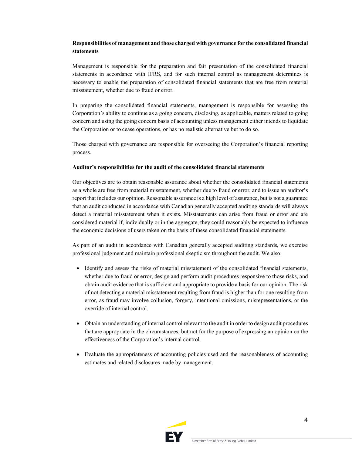### **Responsibilities of management and those charged with governance for the consolidated financial statements**

Management is responsible for the preparation and fair presentation of the consolidated financial statements in accordance with IFRS, and for such internal control as management determines is necessary to enable the preparation of consolidated financial statements that are free from material misstatement, whether due to fraud or error.

In preparing the consolidated financial statements, management is responsible for assessing the Corporation's ability to continue as a going concern, disclosing, as applicable, matters related to going concern and using the going concern basis of accounting unless management either intends to liquidate the Corporation or to cease operations, or has no realistic alternative but to do so.

Those charged with governance are responsible for overseeing the Corporation's financial reporting process.

#### **Auditor's responsibilities for the audit of the consolidated financial statements**

Our objectives are to obtain reasonable assurance about whether the consolidated financial statements as a whole are free from material misstatement, whether due to fraud or error, and to issue an auditor's report that includes our opinion. Reasonable assurance is a high level of assurance, but is not a guarantee that an audit conducted in accordance with Canadian generally accepted auditing standards will always detect a material misstatement when it exists. Misstatements can arise from fraud or error and are considered material if, individually or in the aggregate, they could reasonably be expected to influence the economic decisions of users taken on the basis of these consolidated financial statements.

As part of an audit in accordance with Canadian generally accepted auditing standards, we exercise professional judgment and maintain professional skepticism throughout the audit. We also:

- Identify and assess the risks of material misstatement of the consolidated financial statements, whether due to fraud or error, design and perform audit procedures responsive to those risks, and obtain audit evidence that is sufficient and appropriate to provide a basis for our opinion. The risk of not detecting a material misstatement resulting from fraud is higher than for one resulting from error, as fraud may involve collusion, forgery, intentional omissions, misrepresentations, or the override of internal control.
- Obtain an understanding of internal control relevant to the audit in order to design audit procedures that are appropriate in the circumstances, but not for the purpose of expressing an opinion on the effectiveness of the Corporation's internal control.
- Evaluate the appropriateness of accounting policies used and the reasonableness of accounting estimates and related disclosures made by management.

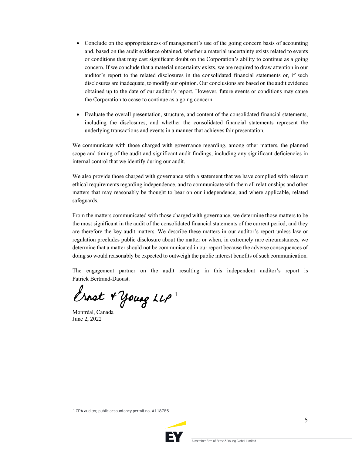- Conclude on the appropriateness of management's use of the going concern basis of accounting and, based on the audit evidence obtained, whether a material uncertainty exists related to events or conditions that may cast significant doubt on the Corporation's ability to continue as a going concern. If we conclude that a material uncertainty exists, we are required to draw attention in our auditor's report to the related disclosures in the consolidated financial statements or, if such disclosures are inadequate, to modify our opinion. Our conclusions are based on the audit evidence obtained up to the date of our auditor's report. However, future events or conditions may cause the Corporation to cease to continue as a going concern.
- Evaluate the overall presentation, structure, and content of the consolidated financial statements, including the disclosures, and whether the consolidated financial statements represent the underlying transactions and events in a manner that achieves fair presentation.

We communicate with those charged with governance regarding, among other matters, the planned scope and timing of the audit and significant audit findings, including any significant deficiencies in internal control that we identify during our audit.

We also provide those charged with governance with a statement that we have complied with relevant ethical requirements regarding independence, and to communicate with them all relationships and other matters that may reasonably be thought to bear on our independence, and where applicable, related safeguards.

From the matters communicated with those charged with governance, we determine those matters to be the most significant in the audit of the consolidated financial statements of the current period, and they are therefore the key audit matters. We describe these matters in our auditor's report unless law or regulation precludes public disclosure about the matter or when, in extremely rare circumstances, we determine that a matter should not be communicated in our report because the adverse consequences of doing so would reasonably be expected to outweigh the public interest benefits of such communication.

The engagement partner on the audit resulting in this independent auditor's report is Patrick Bertrand-Daoust.

Crnet + Young LLP

Montréal, Canada June 2, 2022

<sup>1</sup> CPA auditor, public accountancy permit no. A118785

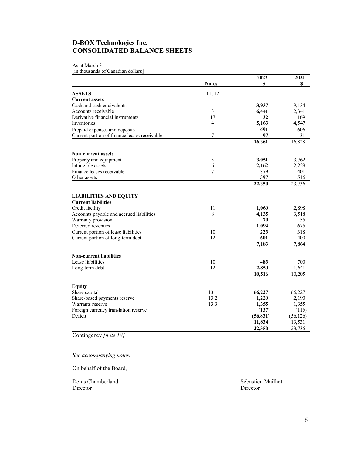# **D-BOX Technologies Inc. CONSOLIDATED BALANCE SHEETS**

As at March 31

[in thousands of Canadian dollars]

|                                              |              | 2022      | 2021      |
|----------------------------------------------|--------------|-----------|-----------|
|                                              | <b>Notes</b> | S         | S         |
| <b>ASSETS</b>                                | 11, 12       |           |           |
| <b>Current assets</b>                        |              |           |           |
| Cash and cash equivalents                    |              | 3,937     | 9,134     |
| Accounts receivable                          | 3            | 6,441     | 2,341     |
| Derivative financial instruments             | 17           | 32        | 169       |
| Inventories                                  | 4            | 5,163     | 4,547     |
| Prepaid expenses and deposits                |              | 691       | 606       |
| Current portion of finance leases receivable | 7            | 97        | 31        |
|                                              |              | 16,361    | 16,828    |
|                                              |              |           |           |
| <b>Non-current assets</b>                    |              |           |           |
| Property and equipment                       | 5            | 3,051     | 3,762     |
| Intangible assets                            | 6            | 2,162     | 2,229     |
| Finance leases receivable                    | 7            | 379       | 401       |
| Other assets                                 |              | 397       | 516       |
|                                              |              | 22,350    | 23,736    |
| <b>LIABILITIES AND EQUITY</b>                |              |           |           |
| <b>Current liabilities</b>                   |              |           |           |
| Credit facility                              | 11           | 1,060     | 2,898     |
| Accounts payable and accrued liabilities     | 8            | 4,135     | 3,518     |
| Warranty provision                           |              | 70        | 55        |
| Deferred revenues                            |              | 1,094     | 675       |
|                                              | 10           | 223       | 318       |
| Current portion of lease liabilities         |              |           |           |
| Current portion of long-term debt            | 12           | 601       | 400       |
|                                              |              | 7,183     | 7,864     |
| <b>Non-current liabilities</b>               |              |           |           |
| Lease liabilities                            | 10           | 483       | 700       |
| Long-term debt                               | 12           | 2,850     | 1,641     |
|                                              |              | 10,516    | 10,205    |
|                                              |              |           |           |
| <b>Equity</b><br>Share capital               | 13.1         | 66,227    | 66,227    |
| Share-based payments reserve                 | 13.2         | 1,220     | 2,190     |
| Warrants reserve                             | 13.3         | 1,355     | 1,355     |
|                                              |              |           |           |
| Foreign currency translation reserve         |              | (137)     | (115)     |
| Deficit                                      |              | (56, 831) | (56, 126) |
|                                              |              | 11,834    | 13,531    |
|                                              |              | 22,350    | 23,736    |

Contingency *[note 18]* 

*See accompanying notes.*

On behalf of the Board,

Denis Chamberland Sébastien Mailhot<br>Director Director Director

Director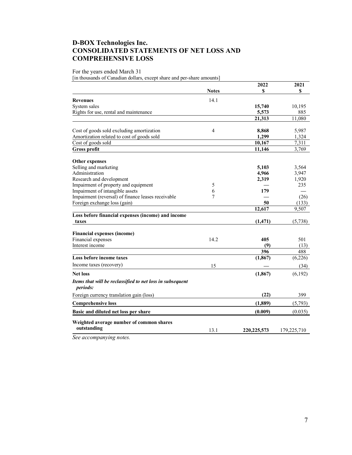## **D-BOX Technologies Inc. CONSOLIDATED STATEMENTS OF NET LOSS AND COMPREHENSIVE LOSS**

### For the years ended March 31

[in thousands of Canadian dollars, except share and per-share amounts]

|                                                                                       |              | 2022          | 2021           |
|---------------------------------------------------------------------------------------|--------------|---------------|----------------|
|                                                                                       | <b>Notes</b> | \$            | \$             |
| <b>Revenues</b>                                                                       | 14.1         |               |                |
| System sales                                                                          |              | 15,740        | 10,195         |
| Rights for use, rental and maintenance                                                |              | 5,573         | 885            |
|                                                                                       |              | 21,313        | 11.080         |
|                                                                                       |              |               |                |
| Cost of goods sold excluding amortization                                             | 4            | 8,868         | 5,987          |
| Amortization related to cost of goods sold                                            |              | 1,299         | 1,324          |
| Cost of goods sold                                                                    |              | 10,167        | 7,311          |
| <b>Gross profit</b>                                                                   |              | 11,146        | 3,769          |
|                                                                                       |              |               |                |
| <b>Other expenses</b>                                                                 |              |               |                |
| Selling and marketing                                                                 |              | 5,103         | 3,564          |
| Administration                                                                        |              | 4,966         | 3,947          |
| Research and development                                                              |              | 2,319         | 1,920          |
| Impairment of property and equipment                                                  | 5            |               | 235            |
| Impairment of intangible assets<br>Impairment (reversal) of finance leases receivable | 6<br>7       | 179           | (26)           |
| Foreign exchange loss (gain)                                                          |              | 50            |                |
|                                                                                       |              | 12,617        | (133)<br>9,507 |
| Loss before financial expenses (income) and income                                    |              |               |                |
| taxes                                                                                 |              | (1, 471)      | (5,738)        |
|                                                                                       |              |               |                |
| <b>Financial expenses (income)</b>                                                    |              |               |                |
| Financial expenses                                                                    | 14.2         | 405           | 501            |
| Interest income                                                                       |              | (9)           | (13)           |
|                                                                                       |              | 396           | 488            |
| Loss before income taxes                                                              |              | (1,867)       | (6,226)        |
| Income taxes (recovery)                                                               | 15           |               | (34)           |
| <b>Net loss</b>                                                                       |              | (1, 867)      | (6,192)        |
| Items that will be reclassified to net loss in subsequent<br>periods:                 |              |               |                |
| Foreign currency translation gain (loss)                                              |              | (22)          | 399            |
| <b>Comprehensive loss</b>                                                             |              | (1, 889)      | (5,793)        |
| Basic and diluted net loss per share                                                  |              | (0.009)       | (0.035)        |
| Weighted average number of common shares                                              |              |               |                |
| outstanding                                                                           | 13.1         | 220, 225, 573 | 179,225,710    |
|                                                                                       |              |               |                |

*See accompanying notes.*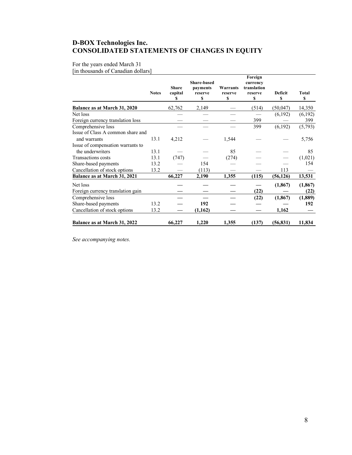# **D-BOX Technologies Inc. CONSOLIDATED STATEMENTS OF CHANGES IN EQUITY**

For the years ended March 31 [in thousands of Canadian dollars]

|                                     | <b>Notes</b> | <b>Share</b><br>capital<br>S | <b>Share-based</b><br>payments<br>reserve<br>\$ | Warrants<br>reserve<br>\$ | Foreign<br>currency<br>translation<br>reserve<br>\$ | <b>Deficit</b><br>\$ | <b>Total</b><br>\$ |
|-------------------------------------|--------------|------------------------------|-------------------------------------------------|---------------------------|-----------------------------------------------------|----------------------|--------------------|
| Balance as at March 31, 2020        |              | 62,762                       | 2,149                                           |                           | (514)                                               | (50,047)             | 14,350             |
| Net loss                            |              |                              |                                                 |                           |                                                     | (6,192)              | (6,192)            |
| Foreign currency translation loss   |              |                              |                                                 |                           | 399                                                 |                      | 399                |
| Comprehensive loss                  |              |                              |                                                 |                           | 399                                                 | (6,192)              | (5,793)            |
| Issue of Class A common share and   |              |                              |                                                 |                           |                                                     |                      |                    |
| and warrants                        | 13.1         | 4,212                        |                                                 | 1,544                     |                                                     |                      | 5,756              |
| Issue of compensation warrants to   |              |                              |                                                 |                           |                                                     |                      |                    |
| the underwriters                    | 13.1         |                              |                                                 | 85                        |                                                     |                      | 85                 |
| Transactions costs                  | 13.1         | (747)                        |                                                 | (274)                     |                                                     |                      | (1,021)            |
| Share-based payments                | 13.2         |                              | 154                                             |                           |                                                     |                      | 154                |
| Cancellation of stock options       | 13.2         |                              | (113)                                           |                           |                                                     | 113                  |                    |
| <b>Balance as at March 31, 2021</b> |              | 66,227                       | 2,190                                           | 1,355                     | (115)                                               | (56, 126)            | 13,531             |
| Net loss                            |              |                              |                                                 |                           |                                                     | (1, 867)             | (1, 867)           |
| Foreign currency translation gain   |              |                              |                                                 |                           | (22)                                                |                      | (22)               |
| Comprehensive loss                  |              |                              |                                                 |                           | (22)                                                | (1, 867)             | (1,889)            |
| Share-based payments                | 13.2         |                              | 192                                             |                           |                                                     |                      | 192                |
| Cancellation of stock options       | 13.2         |                              | (1,162)                                         |                           |                                                     | 1,162                |                    |
| Balance as at March 31, 2022        |              | 66,227                       | 1,220                                           | 1,355                     | (137)                                               | (56, 831)            | 11,834             |

*See accompanying notes.*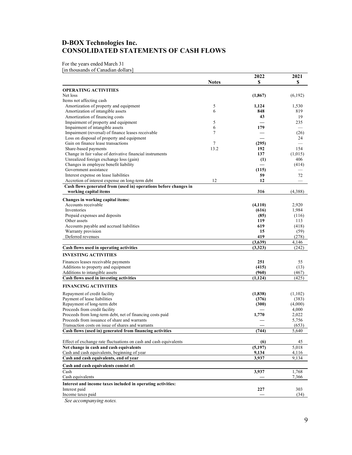# **D-BOX Technologies Inc. CONSOLIDATED STATEMENTS OF CASH FLOWS**

For the years ended March 31

[in thousands of Canadian dollars]

|                                                                              |              | 2022                     | 2021                     |
|------------------------------------------------------------------------------|--------------|--------------------------|--------------------------|
|                                                                              | <b>Notes</b> | \$                       | \$                       |
| <b>OPERATING ACTIVITIES</b>                                                  |              |                          |                          |
| Net loss                                                                     |              | (1, 867)                 | (6,192)                  |
| Items not affecting cash                                                     |              |                          |                          |
| Amortization of property and equipment                                       | 5            | 1,124                    | 1,530                    |
| Amortization of intangible assets                                            | 6            | 848                      | 819                      |
| Amortization of financing costs                                              |              | 43                       | 19                       |
| Impairment of property and equipment                                         | 5            |                          | 235                      |
| Impairment of intangible assets                                              | 6            | 179                      | $\overline{\phantom{0}}$ |
| Impairment (reversal) of finance leases receivable                           | 7            |                          | (26)                     |
| Loss on disposal of property and equipment                                   |              |                          | 24                       |
| Gain on finance lease transactions                                           | 7            | (295)                    | $\overline{\phantom{0}}$ |
| Share-based payments                                                         | 13.2         | 192                      | 154                      |
| Change in fair value of derivative financial instruments                     |              | 137                      | (1,015)                  |
| Unrealized foreign exchange loss (gain)                                      |              | (1)                      | 406                      |
| Changes in employee benefit liability                                        |              | $\overline{\phantom{0}}$ | (414)                    |
| Government assistance                                                        |              | (115)                    |                          |
| Interest expense on lease liabilities                                        |              | 59                       | 72                       |
| Accretion of interest expense on long-term debt                              | 12           | 12                       |                          |
| Cash flows generated from (used in) operations before changes in             |              |                          |                          |
| working capital items                                                        |              | 316                      | (4,388)                  |
| Changes in working capital items:                                            |              |                          |                          |
| Accounts receivable                                                          |              | (4, 110)                 | 2,920                    |
| Inventories                                                                  |              | (616)                    | 1,984                    |
| Prepaid expenses and deposits                                                |              | (85)                     | (116)                    |
| Other assets                                                                 |              | 119                      | 113                      |
| Accounts payable and accrued liabilities                                     |              | 619                      | (418)                    |
| Warranty provision                                                           |              | 15                       | (59)                     |
| Deferred revenues                                                            |              | 419                      | (278)                    |
|                                                                              |              | (3,639)                  | 4,146                    |
| Cash flows used in operating activities                                      |              | (3,323)                  | (242)                    |
| <b>INVESTING ACTIVITIES</b>                                                  |              |                          |                          |
| Finances leases receivable payments                                          |              | 251                      | 55                       |
| Additions to property and equipment                                          |              | (415)                    | (13)                     |
| Additions to intangible assets                                               |              | (960)                    | (467)                    |
| Cash flows used in investing activities                                      |              | (1, 124)                 | (425)                    |
| <b>FINANCING ACTIVITIES</b>                                                  |              |                          |                          |
| Repayment of credit facility                                                 |              | (1,838)                  | (1,102)                  |
| Payment of lease liabilities                                                 |              | (376)                    | (383)                    |
| Repayment of long-term debt                                                  |              | (300)                    | (4,000)                  |
| Proceeds from credit facility                                                |              |                          | 4,000                    |
| Proceeds from long-term debt, net of financing costs paid                    |              | 1,770                    | 2,022                    |
| Proceeds from issuance of share and warrants                                 |              |                          | 5,756                    |
| Transaction costs on issue of shares and warrants                            |              |                          | (653)                    |
| Cash flows (used in) generated from financing activities                     |              | (744)                    | 5,640                    |
| Effect of exchange rate fluctuations on cash and cash equivalents            |              | (6)                      | 45                       |
| Net change in cash and cash equivalents                                      |              | (5, 197)                 | 5,018                    |
| Cash and cash equivalents, beginning of year                                 |              | 9,134                    | 4,116                    |
| Cash and cash equivalents, end of year                                       |              | 3,937                    | 9,134                    |
| Cash and cash equivalents consist of:                                        |              |                          |                          |
| Cash                                                                         |              | 3,937                    | 1,768                    |
| Cash equivalents                                                             |              |                          | 7,366                    |
| Interest and income taxes included in operating activities:<br>Interest paid |              | 227                      | 303                      |
| Income taxes paid                                                            |              |                          | (34)                     |
|                                                                              |              |                          |                          |

*See accompanying notes.*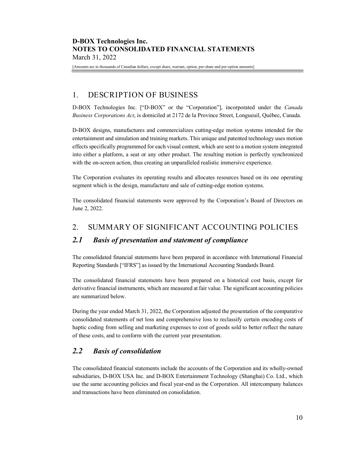[Amounts are in thousands of Canadian dollars, except share, warrant, option, per-share and per-option amounts]

# 1. DESCRIPTION OF BUSINESS

D-BOX Technologies Inc. ["D-BOX" or the "Corporation"], incorporated under the *Canada Business Corporations Act*, is domiciled at 2172 de la Province Street, Longueuil, Québec, Canada.

D-BOX designs, manufactures and commercializes cutting-edge motion systems intended for the entertainment and simulation and training markets. This unique and patented technology uses motion effects specifically programmed for each visual content, which are sent to a motion system integrated into either a platform, a seat or any other product. The resulting motion is perfectly synchronized with the on-screen action, thus creating an unparalleled realistic immersive experience.

The Corporation evaluates its operating results and allocates resources based on its one operating segment which is the design, manufacture and sale of cutting-edge motion systems.

The consolidated financial statements were approved by the Corporation's Board of Directors on June 2, 2022.

# 2. SUMMARY OF SIGNIFICANT ACCOUNTING POLICIES

## *2.1 Basis of presentation and statement of compliance*

The consolidated financial statements have been prepared in accordance with International Financial Reporting Standards ["IFRS"] as issued by the International Accounting Standards Board.

The consolidated financial statements have been prepared on a historical cost basis, except for derivative financial instruments, which are measured at fair value. The significant accounting policies are summarized below.

During the year ended March 31, 2022, the Corporation adjusted the presentation of the comparative consolidated statements of net loss and comprehensive loss to reclassify certain encoding costs of haptic coding from selling and marketing expenses to cost of goods sold to better reflect the nature of these costs, and to conform with the current year presentation.

# *2.2 Basis of consolidation*

The consolidated financial statements include the accounts of the Corporation and its wholly-owned subsidiaries, D-BOX USA Inc. and D-BOX Entertainment Technology (Shanghai) Co. Ltd., which use the same accounting policies and fiscal year-end as the Corporation. All intercompany balances and transactions have been eliminated on consolidation.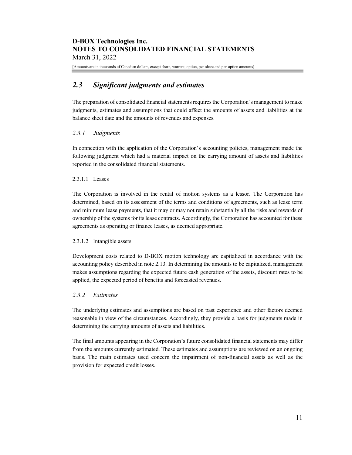[Amounts are in thousands of Canadian dollars, except share, warrant, option, per-share and per-option amounts]

# *2.3 Significant judgments and estimates*

The preparation of consolidated financial statements requires the Corporation's management to make judgments, estimates and assumptions that could affect the amounts of assets and liabilities at the balance sheet date and the amounts of revenues and expenses.

### *2.3.1 Judgments*

In connection with the application of the Corporation's accounting policies, management made the following judgment which had a material impact on the carrying amount of assets and liabilities reported in the consolidated financial statements.

### 2.3.1.1 Leases

The Corporation is involved in the rental of motion systems as a lessor. The Corporation has determined, based on its assessment of the terms and conditions of agreements, such as lease term and minimum lease payments, that it may or may not retain substantially all the risks and rewards of ownership of the systems for its lease contracts. Accordingly, the Corporation has accounted for these agreements as operating or finance leases, as deemed appropriate.

### 2.3.1.2 Intangible assets

Development costs related to D-BOX motion technology are capitalized in accordance with the accounting policy described in note 2.13. In determining the amounts to be capitalized, management makes assumptions regarding the expected future cash generation of the assets, discount rates to be applied, the expected period of benefits and forecasted revenues.

### *2.3.2 Estimates*

The underlying estimates and assumptions are based on past experience and other factors deemed reasonable in view of the circumstances. Accordingly, they provide a basis for judgments made in determining the carrying amounts of assets and liabilities.

The final amounts appearing in the Corporation's future consolidated financial statements may differ from the amounts currently estimated. These estimates and assumptions are reviewed on an ongoing basis. The main estimates used concern the impairment of non-financial assets as well as the provision for expected credit losses.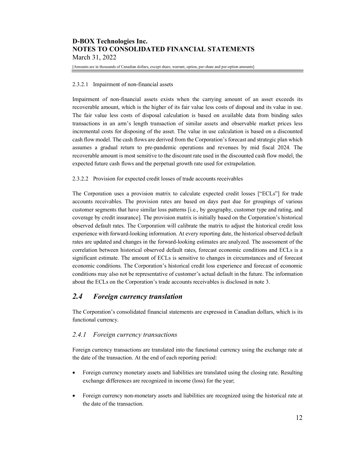[Amounts are in thousands of Canadian dollars, except share, warrant, option, per-share and per-option amounts]

#### 2.3.2.1 Impairment of non-financial assets

Impairment of non-financial assets exists when the carrying amount of an asset exceeds its recoverable amount, which is the higher of its fair value less costs of disposal and its value in use. The fair value less costs of disposal calculation is based on available data from binding sales transactions in an arm's length transaction of similar assets and observable market prices less incremental costs for disposing of the asset. The value in use calculation is based on a discounted cash flow model. The cash flows are derived from the Corporation's forecast and strategic plan which assumes a gradual return to pre-pandemic operations and revenues by mid fiscal 2024. The recoverable amount is most sensitive to the discount rate used in the discounted cash flow model, the expected future cash flows and the perpetual growth rate used for extrapolation.

### 2.3.2.2 Provision for expected credit losses of trade accounts receivables

The Corporation uses a provision matrix to calculate expected credit losses ["ECLs"] for trade accounts receivables. The provision rates are based on days past due for groupings of various customer segments that have similar loss patterns [i.e., by geography, customer type and rating, and coverage by credit insurance]. The provision matrix is initially based on the Corporation's historical observed default rates. The Corporation will calibrate the matrix to adjust the historical credit loss experience with forward-looking information. At every reporting date, the historical observed default rates are updated and changes in the forward-looking estimates are analyzed. The assessment of the correlation between historical observed default rates, forecast economic conditions and ECLs is a significant estimate. The amount of ECLs is sensitive to changes in circumstances and of forecast economic conditions. The Corporation's historical credit loss experience and forecast of economic conditions may also not be representative of customer's actual default in the future. The information about the ECLs on the Corporation's trade accounts receivables is disclosed in note 3.

## *2.4 Foreign currency translation*

The Corporation's consolidated financial statements are expressed in Canadian dollars, which is its functional currency.

### *2.4.1 Foreign currency transactions*

Foreign currency transactions are translated into the functional currency using the exchange rate at the date of the transaction. At the end of each reporting period:

- Foreign currency monetary assets and liabilities are translated using the closing rate. Resulting exchange differences are recognized in income (loss) for the year;
- Foreign currency non-monetary assets and liabilities are recognized using the historical rate at the date of the transaction.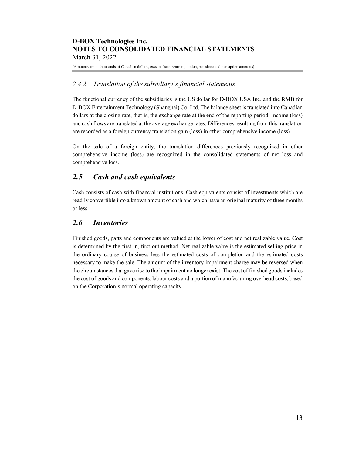[Amounts are in thousands of Canadian dollars, except share, warrant, option, per-share and per-option amounts]

### *2.4.2 Translation of the subsidiary's financial statements*

The functional currency of the subsidiaries is the US dollar for D-BOX USA Inc. and the RMB for D-BOX Entertainment Technology (Shanghai) Co. Ltd. The balance sheet is translated into Canadian dollars at the closing rate, that is, the exchange rate at the end of the reporting period. Income (loss) and cash flows are translated at the average exchange rates. Differences resulting from this translation are recorded as a foreign currency translation gain (loss) in other comprehensive income (loss).

On the sale of a foreign entity, the translation differences previously recognized in other comprehensive income (loss) are recognized in the consolidated statements of net loss and comprehensive loss.

# *2.5 Cash and cash equivalents*

Cash consists of cash with financial institutions. Cash equivalents consist of investments which are readily convertible into a known amount of cash and which have an original maturity of three months or less.

# *2.6 Inventories*

Finished goods, parts and components are valued at the lower of cost and net realizable value. Cost is determined by the first-in, first-out method. Net realizable value is the estimated selling price in the ordinary course of business less the estimated costs of completion and the estimated costs necessary to make the sale. The amount of the inventory impairment charge may be reversed when the circumstances that gave rise to the impairment no longer exist. The cost of finished goods includes the cost of goods and components, labour costs and a portion of manufacturing overhead costs, based on the Corporation's normal operating capacity.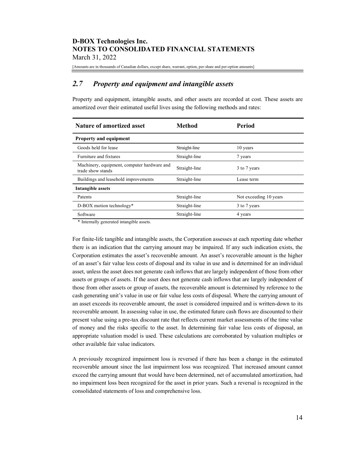[Amounts are in thousands of Canadian dollars, except share, warrant, option, per-share and per-option amounts]

# *2.7 Property and equipment and intangible assets*

Property and equipment, intangible assets, and other assets are recorded at cost. These assets are amortized over their estimated useful lives using the following methods and rates:

| Nature of amortized asset                                        | Method        | Period                 |
|------------------------------------------------------------------|---------------|------------------------|
| <b>Property and equipment</b>                                    |               |                        |
| Goods held for lease                                             | Straight-line | 10 years               |
| Furniture and fixtures                                           | Straight-line | 7 years                |
| Machinery, equipment, computer hardware and<br>trade show stands | Straight-line | 3 to 7 years           |
| Buildings and leasehold improvements                             | Straight-line | Lease term             |
| Intangible assets                                                |               |                        |
| Patents                                                          | Straight-line | Not exceeding 10 years |
| D-BOX motion technology*                                         | Straight-line | 3 to 7 years           |
| Software                                                         | Straight-line | 4 years                |

\* Internally generated intangible assets.

For finite-life tangible and intangible assets, the Corporation assesses at each reporting date whether there is an indication that the carrying amount may be impaired. If any such indication exists, the Corporation estimates the asset's recoverable amount. An asset's recoverable amount is the higher of an asset's fair value less costs of disposal and its value in use and is determined for an individual asset, unless the asset does not generate cash inflows that are largely independent of those from other assets or groups of assets. If the asset does not generate cash inflows that are largely independent of those from other assets or group of assets, the recoverable amount is determined by reference to the cash generating unit's value in use or fair value less costs of disposal. Where the carrying amount of an asset exceeds its recoverable amount, the asset is considered impaired and is written-down to its recoverable amount. In assessing value in use, the estimated future cash flows are discounted to their present value using a pre-tax discount rate that reflects current market assessments of the time value of money and the risks specific to the asset. In determining fair value less costs of disposal, an appropriate valuation model is used. These calculations are corroborated by valuation multiples or other available fair value indicators.

A previously recognized impairment loss is reversed if there has been a change in the estimated recoverable amount since the last impairment loss was recognized. That increased amount cannot exceed the carrying amount that would have been determined, net of accumulated amortization, had no impairment loss been recognized for the asset in prior years. Such a reversal is recognized in the consolidated statements of loss and comprehensive loss.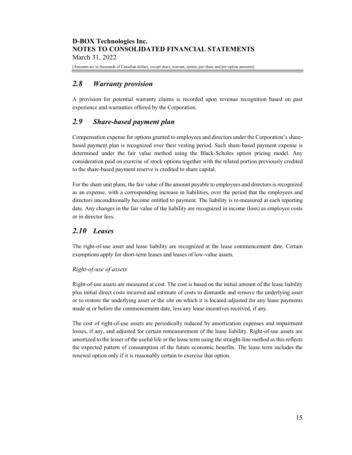[Amounts are in thousands of Canadian dollars, except share, warrant, option, per-share and per-option amounts]

# *2.8 Warranty provision*

A provision for potential warranty claims is recorded upon revenue recognition based on past experience and warranties offered by the Corporation.

# *2.9 Share-based payment plan*

Compensation expense for options granted to employees and directors under the Corporation's sharebased payment plan is recognized over their vesting period. Such share-based payment expense is determined under the fair value method using the Black-Scholes option pricing model. Any consideration paid on exercise of stock options together with the related portion previously credited to the share-based payment reserve is credited to share capital.

For the share unit plans, the fair value of the amount payable to employees and directors is recognized as an expense, with a corresponding increase in liabilities, over the period that the employees and directors unconditionally become entitled to payment. The liability is re-measured at each reporting date. Any changes in the fair value of the liability are recognized in income (loss) as employee costs or in director fees.

## *2.10 Leases*

The right-of-use asset and lease liability are recognized at the lease commencement date. Certain exemptions apply for short-term leases and leases of low-value assets.

### *Right-of-use of assets*

Right-of-use assets are measured at cost. The cost is based on the initial amount of the lease liability plus initial direct costs incurred and estimate of costs to dismantle and remove the underlying asset or to restore the underlying asset or the site on which it is located adjusted for any lease payments made at or before the commencement date, less any lease incentives received, if any.

The cost of right-of-use assets are periodically reduced by amortization expenses and impairment losses, if any, and adjusted for certain remeasurement of the lease liability. Right-of-use assets are amortized to the lesser of the useful life or the lease term using the straight-line method as this reflects the expected pattern of consumption of the future economic benefits. The lease term includes the renewal option only if it is reasonably certain to exercise that option.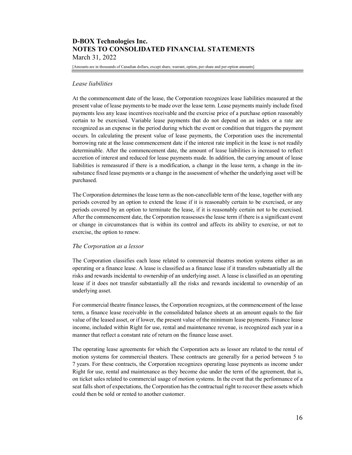[Amounts are in thousands of Canadian dollars, except share, warrant, option, per-share and per-option amounts]

### *Lease liabilities*

At the commencement date of the lease, the Corporation recognizes lease liabilities measured at the present value of lease payments to be made over the lease term. Lease payments mainly include fixed payments less any lease incentives receivable and the exercise price of a purchase option reasonably certain to be exercised. Variable lease payments that do not depend on an index or a rate are recognized as an expense in the period during which the event or condition that triggers the payment occurs. In calculating the present value of lease payments, the Corporation uses the incremental borrowing rate at the lease commencement date if the interest rate implicit in the lease is not readily determinable. After the commencement date, the amount of lease liabilities is increased to reflect accretion of interest and reduced for lease payments made. In addition, the carrying amount of lease liabilities is remeasured if there is a modification, a change in the lease term, a change in the insubstance fixed lease payments or a change in the assessment of whether the underlying asset will be purchased.

The Corporation determines the lease term as the non-cancellable term of the lease, together with any periods covered by an option to extend the lease if it is reasonably certain to be exercised, or any periods covered by an option to terminate the lease, if it is reasonably certain not to be exercised. After the commencement date, the Corporation reassesses the lease term if there is a significant event or change in circumstances that is within its control and affects its ability to exercise, or not to exercise, the option to renew.

### *The Corporation as a lessor*

The Corporation classifies each lease related to commercial theatres motion systems either as an operating or a finance lease. A lease is classified as a finance lease if it transfers substantially all the risks and rewards incidental to ownership of an underlying asset. A lease is classified as an operating lease if it does not transfer substantially all the risks and rewards incidental to ownership of an underlying asset.

For commercial theatre finance leases, the Corporation recognizes, at the commencement of the lease term, a finance lease receivable in the consolidated balance sheets at an amount equals to the fair value of the leased asset, or if lower, the present value of the minimum lease payments. Finance lease income, included within Right for use, rental and maintenance revenue, is recognized each year in a manner that reflect a constant rate of return on the finance lease asset.

The operating lease agreements for which the Corporation acts as lessor are related to the rental of motion systems for commercial theaters. These contracts are generally for a period between 5 to 7 years. For these contracts, the Corporation recognizes operating lease payments as income under Right for use, rental and maintenance as they become due under the term of the agreement, that is, on ticket sales related to commercial usage of motion systems. In the event that the performance of a seat falls short of expectations, the Corporation has the contractual right to recover these assets which could then be sold or rented to another customer.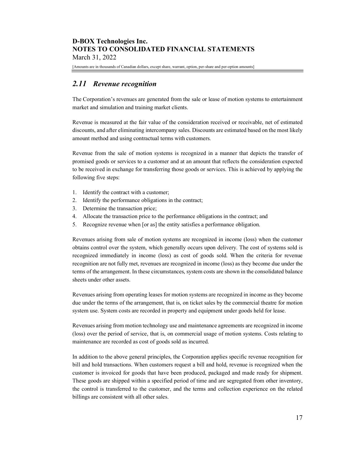[Amounts are in thousands of Canadian dollars, except share, warrant, option, per-share and per-option amounts]

# *2.11 Revenue recognition*

The Corporation's revenues are generated from the sale or lease of motion systems to entertainment market and simulation and training market clients.

Revenue is measured at the fair value of the consideration received or receivable, net of estimated discounts, and after eliminating intercompany sales. Discounts are estimated based on the most likely amount method and using contractual terms with customers.

Revenue from the sale of motion systems is recognized in a manner that depicts the transfer of promised goods or services to a customer and at an amount that reflects the consideration expected to be received in exchange for transferring those goods or services. This is achieved by applying the following five steps:

- 1. Identify the contract with a customer;
- 2. Identify the performance obligations in the contract;
- 3. Determine the transaction price;
- 4. Allocate the transaction price to the performance obligations in the contract; and
- 5. Recognize revenue when [or as] the entity satisfies a performance obligation.

Revenues arising from sale of motion systems are recognized in income (loss) when the customer obtains control over the system, which generally occurs upon delivery. The cost of systems sold is recognized immediately in income (loss) as cost of goods sold. When the criteria for revenue recognition are not fully met, revenues are recognized in income (loss) as they become due under the terms of the arrangement. In these circumstances, system costs are shown in the consolidated balance sheets under other assets.

Revenues arising from operating leases for motion systems are recognized in income as they become due under the terms of the arrangement, that is, on ticket sales by the commercial theatre for motion system use. System costs are recorded in property and equipment under goods held for lease.

Revenues arising from motion technology use and maintenance agreements are recognized in income (loss) over the period of service, that is, on commercial usage of motion systems. Costs relating to maintenance are recorded as cost of goods sold as incurred.

In addition to the above general principles, the Corporation applies specific revenue recognition for bill and hold transactions. When customers request a bill and hold, revenue is recognized when the customer is invoiced for goods that have been produced, packaged and made ready for shipment. These goods are shipped within a specified period of time and are segregated from other inventory, the control is transferred to the customer, and the terms and collection experience on the related billings are consistent with all other sales.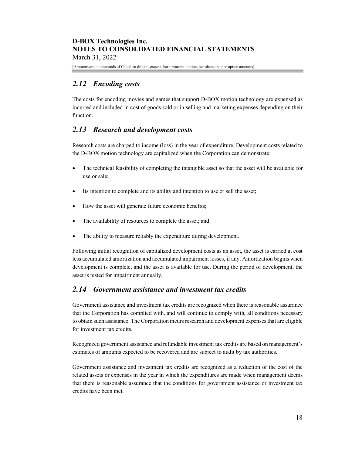[Amounts are in thousands of Canadian dollars, except share, warrant, option, per-share and per-option amounts]

# *2.12 Encoding costs*

The costs for encoding movies and games that support D-BOX motion technology are expensed as incurred and included in cost of goods sold or in selling and marketing expenses depending on their function.

# *2.13 Research and development costs*

Research costs are charged to income (loss) in the year of expenditure. Development costs related to the D-BOX motion technology are capitalized when the Corporation can demonstrate:

- The technical feasibility of completing the intangible asset so that the asset will be available for use or sale;
- Its intention to complete and its ability and intention to use or sell the asset;
- How the asset will generate future economic benefits;
- The availability of resources to complete the asset; and
- The ability to measure reliably the expenditure during development.

Following initial recognition of capitalized development costs as an asset, the asset is carried at cost less accumulated amortization and accumulated impairment losses, if any. Amortization begins when development is complete, and the asset is available for use. During the period of development, the asset is tested for impairment annually.

## *2.14 Government assistance and investment tax credits*

Government assistance and investment tax credits are recognized when there is reasonable assurance that the Corporation has complied with, and will continue to comply with, all conditions necessary to obtain such assistance. The Corporation incurs research and development expenses that are eligible for investment tax credits.

Recognized government assistance and refundable investment tax credits are based on management's estimates of amounts expected to be recovered and are subject to audit by tax authorities.

Government assistance and investment tax credits are recognized as a reduction of the cost of the related assets or expenses in the year in which the expenditures are made when management deems that there is reasonable assurance that the conditions for government assistance or investment tax credits have been met.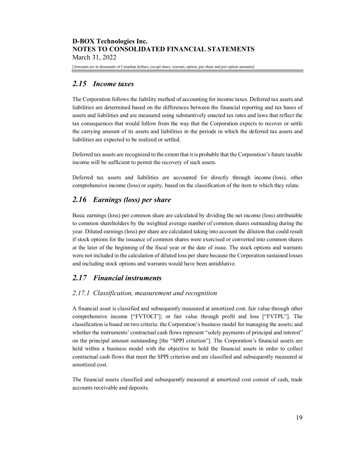[Amounts are in thousands of Canadian dollars, except share, warrant, option, per-share and per-option amounts]

# *2.15 Income taxes*

The Corporation follows the liability method of accounting for income taxes. Deferred tax assets and liabilities are determined based on the differences between the financial reporting and tax bases of assets and liabilities and are measured using substantively enacted tax rates and laws that reflect the tax consequences that would follow from the way that the Corporation expects to recover or settle the carrying amount of its assets and liabilities in the periods in which the deferred tax assets and liabilities are expected to be realized or settled.

Deferred tax assets are recognized to the extent that it is probable that the Corporation's future taxable income will be sufficient to permit the recovery of such assets.

Deferred tax assets and liabilities are accounted for directly through income (loss), other comprehensive income (loss) or equity, based on the classification of the item to which they relate.

# *2.16 Earnings (loss) per share*

Basic earnings (loss) per common share are calculated by dividing the net income (loss) attributable to common shareholders by the weighted average number of common shares outstanding during the year. Diluted earnings (loss) per share are calculated taking into account the dilution that could result if stock options for the issuance of common shares were exercised or converted into common shares at the later of the beginning of the fiscal year or the date of issue. The stock options and warrants were not included in the calculation of diluted loss per share because the Corporation sustained losses and including stock options and warrants would have been antidilutive.

# *2.17 Financial instruments*

### *2.17.1 Classification, measurement and recognition*

A financial asset is classified and subsequently measured at amortized cost; fair value through other comprehensive income ["FVTOCI"]; or fair value through profit and loss ["FVTPL"]. The classification is based on two criteria: the Corporation's business model for managing the assets; and whether the instruments' contractual cash flows represent "solely payments of principal and interest" on the principal amount outstanding [the "SPPI criterion"]. The Corporation's financial assets are held within a business model with the objective to hold the financial assets in order to collect contractual cash flows that meet the SPPI criterion and are classified and subsequently measured at amortized cost.

The financial assets classified and subsequently measured at amortized cost consist of cash, trade accounts receivable and deposits.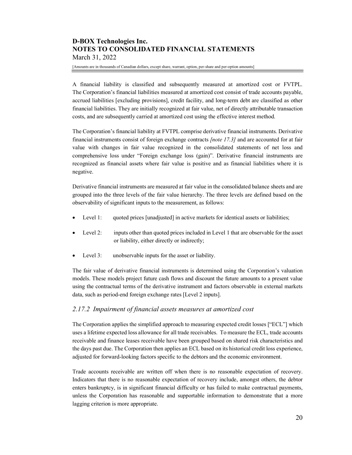[Amounts are in thousands of Canadian dollars, except share, warrant, option, per-share and per-option amounts]

A financial liability is classified and subsequently measured at amortized cost or FVTPL. The Corporation's financial liabilities measured at amortized cost consist of trade accounts payable, accrued liabilities [excluding provisions], credit facility, and long-term debt are classified as other financial liabilities. They are initially recognized at fair value, net of directly attributable transaction costs, and are subsequently carried at amortized cost using the effective interest method.

The Corporation's financial liability at FVTPL comprise derivative financial instruments. Derivative financial instruments consist of foreign exchange contracts *[note 17.3]* and are accounted for at fair value with changes in fair value recognized in the consolidated statements of net loss and comprehensive loss under "Foreign exchange loss (gain)". Derivative financial instruments are recognized as financial assets where fair value is positive and as financial liabilities where it is negative.

Derivative financial instruments are measured at fair value in the consolidated balance sheets and are grouped into the three levels of the fair value hierarchy. The three levels are defined based on the observability of significant inputs to the measurement, as follows:

- Level 1: quoted prices [unadjusted] in active markets for identical assets or liabilities;
- Level 2: inputs other than quoted prices included in Level 1 that are observable for the asset or liability, either directly or indirectly;
- Level 3: unobservable inputs for the asset or liability.

The fair value of derivative financial instruments is determined using the Corporation's valuation models. These models project future cash flows and discount the future amounts to a present value using the contractual terms of the derivative instrument and factors observable in external markets data, such as period-end foreign exchange rates [Level 2 inputs].

### *2.17.2 Impairment of financial assets measures at amortized cost*

The Corporation applies the simplified approach to measuring expected credit losses ["ECL"] which uses a lifetime expected loss allowance for all trade receivables. To measure the ECL, trade accounts receivable and finance leases receivable have been grouped based on shared risk characteristics and the days past due. The Corporation then applies an ECL based on its historical credit loss experience, adjusted for forward-looking factors specific to the debtors and the economic environment.

Trade accounts receivable are written off when there is no reasonable expectation of recovery. Indicators that there is no reasonable expectation of recovery include, amongst others, the debtor enters bankruptcy, is in significant financial difficulty or has failed to make contractual payments, unless the Corporation has reasonable and supportable information to demonstrate that a more lagging criterion is more appropriate.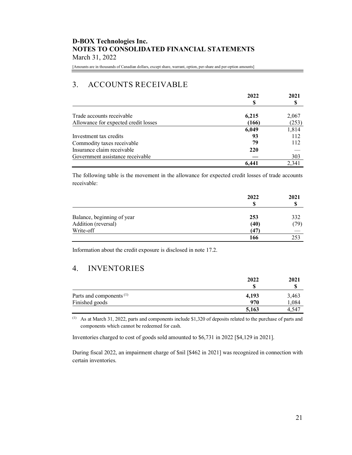[Amounts are in thousands of Canadian dollars, except share, warrant, option, per-share and per-option amounts]

# <span id="page-21-0"></span>3. ACCOUNTS RECEIVABLE

|                                      | 2022       | 2021  |
|--------------------------------------|------------|-------|
|                                      |            |       |
|                                      |            |       |
| Trade accounts receivable            | 6,215      | 2,067 |
| Allowance for expected credit losses | (166)      | (253) |
|                                      | 6,049      | 1,814 |
| Investment tax credits               | 93         | 112   |
| Commodity taxes receivable           | 79         | 112   |
| Insurance claim receivable           | <b>220</b> |       |
| Government assistance receivable     |            | 303   |
|                                      | 6.441      | 2.341 |

The following table is the movement in the allowance for expected credit losses of trade accounts receivable:

|                            | 2022 | 2021 |  |
|----------------------------|------|------|--|
|                            |      |      |  |
| Balance, beginning of year | 253  | 332  |  |
| Addition (reversal)        | (40) | (79) |  |
| Write-off                  | (47) |      |  |
|                            | 166  | 253  |  |

Information about the credit exposure is disclosed in note 17.2.

# <span id="page-21-1"></span>4. INVENTORIES

|                            | 2022  | 2021  |  |
|----------------------------|-------|-------|--|
|                            |       |       |  |
| Parts and components $(1)$ | 4,193 | 3,463 |  |
| Finished goods             | 970   | 0.084 |  |
|                            | 5,163 | 4,547 |  |

(1) As at March 31, 2022, parts and components include \$1,320 of deposits related to the purchase of parts and components which cannot be redeemed for cash.

Inventories charged to cost of goods sold amounted to \$6,731 in 2022 [\$4,129 in 2021].

During fiscal 2022, an impairment charge of \$nil [\$462 in 2021] was recognized in connection with certain inventories.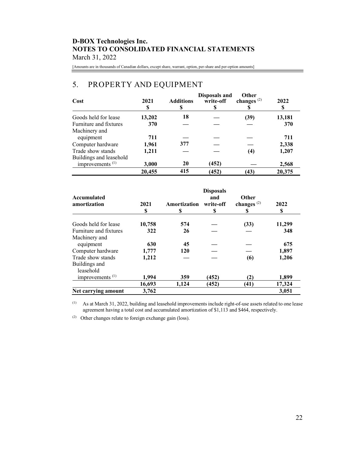[Amounts are in thousands of Canadian dollars, except share, warrant, option, per-share and per-option amounts]

| Cost                                         | 2021<br>S | <b>Additions</b><br>S | Disposals and<br>write-off | <b>Other</b><br>changes $(2)$ | 2022<br>S |
|----------------------------------------------|-----------|-----------------------|----------------------------|-------------------------------|-----------|
| Goods held for lease                         | 13,202    | 18                    |                            | (39)                          | 13,181    |
| Furniture and fixtures                       | 370       |                       |                            |                               | 370       |
| Machinery and<br>equipment                   | 711       |                       |                            |                               | 711       |
| Computer hardware                            | 1,961     | 377                   |                            |                               | 2,338     |
| Trade show stands<br>Buildings and leasehold | 1,211     |                       |                            | $\left( 4\right)$             | 1,207     |
| improvements $(1)$                           | 3,000     | 20                    | (452)                      |                               | 2,568     |
|                                              | 20,455    | 415                   | (452)                      | (43)                          | 20,375    |

# <span id="page-22-0"></span>5. PROPERTY AND EQUIPMENT

| Accumulated<br>amortization                     | 2021<br>S | Amortization<br>S | <b>Disposals</b><br>and<br>write-off<br>\$ | <b>Other</b><br>changes $(2)$<br>S | 2022<br>S |
|-------------------------------------------------|-----------|-------------------|--------------------------------------------|------------------------------------|-----------|
| Goods held for lease                            | 10,758    | 574               |                                            | (33)                               | 11,299    |
| Furniture and fixtures                          | 322       | 26                |                                            |                                    | 348       |
| Machinery and<br>equipment                      | 630       | 45                |                                            |                                    | 675       |
| Computer hardware                               | 1,777     | 120               |                                            |                                    | 1,897     |
| Trade show stands<br>Buildings and<br>leasehold | 1,212     |                   |                                            | (6)                                | 1,206     |
| improvements $(1)$                              | 1,994     | 359               | (452)                                      | (2)                                | 1,899     |
|                                                 | 16,693    | 1,124             | (452)                                      | (41)                               | 17,324    |
| Net carrying amount                             | 3,762     |                   |                                            |                                    | 3,051     |

(1) As at March 31, 2022, building and leasehold improvements include right-of-use assets related to one lease agreement having a total cost and accumulated amortization of \$1,113 and \$464, respectively.

(2) Other changes relate to foreign exchange gain (loss).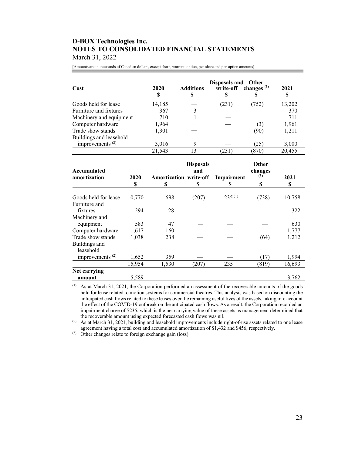[Amounts are in thousands of Canadian dollars, except share, warrant, option, per-share and per-option amounts]

| Cost                    | 2020<br>S | <b>Additions</b> | Disposals and Other | write-off changes $^{(3)}$ | 2021   |
|-------------------------|-----------|------------------|---------------------|----------------------------|--------|
| Goods held for lease    | 14,185    |                  | (231)               | (752)                      | 13,202 |
| Furniture and fixtures  | 367       |                  |                     |                            | 370    |
| Machinery and equipment | 710       |                  |                     |                            | 711    |
| Computer hardware       | 1,964     |                  |                     | (3)                        | 1,961  |
| Trade show stands       | 1,301     |                  |                     | (90)                       | 1,211  |
| Buildings and leasehold |           |                  |                     |                            |        |
| improvements $(2)$      | 3,016     | q                |                     | (25)                       | 3,000  |
|                         | 21,543    | 13               | (231)               | (870)                      | 20,455 |

| Accumulated<br>amortization | 2020<br>\$ | Amortization write-off<br>S | <b>Disposals</b><br>and<br>\$ | Impairment<br>S | Other<br>changes<br>(3)<br>S | 2021<br>\$ |
|-----------------------------|------------|-----------------------------|-------------------------------|-----------------|------------------------------|------------|
| Goods held for lease        |            | 698                         |                               | $235^{(1)}$     |                              |            |
| Furniture and               | 10,770     |                             | (207)                         |                 | (738)                        | 10,758     |
| fixtures                    | 294        | 28                          |                               |                 |                              | 322        |
| Machinery and               |            |                             |                               |                 |                              |            |
| equipment                   | 583        | 47                          |                               |                 |                              | 630        |
| Computer hardware           | 1,617      | 160                         |                               |                 |                              | 1,777      |
| Trade show stands           | 1,038      | 238                         |                               |                 | (64)                         | 1,212      |
| Buildings and               |            |                             |                               |                 |                              |            |
| leasehold                   |            |                             |                               |                 |                              |            |
| improvements <sup>(2)</sup> | 1,652      | 359                         |                               |                 | (17)                         | 1,994      |
|                             | 15,954     | 1,530                       | (207)                         | 235             | (819)                        | 16,693     |
| Net carrying                |            |                             |                               |                 |                              |            |
| amount                      | 5,589      |                             |                               |                 |                              | 3,762      |

 $(1)$  As at March 31, 2021, the Corporation performed an assessment of the recoverable amounts of the goods held for lease related to motion systems for commercial theatres. This analysis was based on discounting the anticipated cash flows related to these leases over the remaining useful lives of the assets, taking into account the effect of the COVID-19 outbreak on the anticipated cash flows. As a result, the Corporation recorded an impairment charge of \$235, which is the net carrying value of these assets as management determined that the recoverable amount using expected forecasted cash flows was nil.

(2) As at March 31, 2021, building and leasehold improvements include right-of-use assets related to one lease agreement having a total cost and accumulated amortization of \$1,432 and \$456, respectively.

(3) Other changes relate to foreign exchange gain (loss).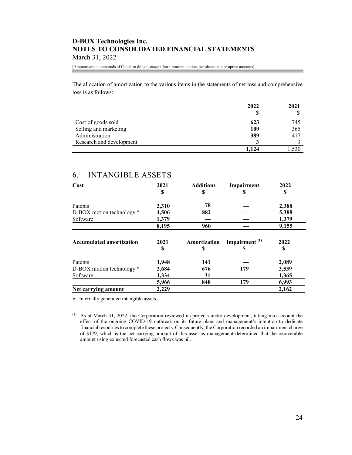[Amounts are in thousands of Canadian dollars, except share, warrant, option, per-share and per-option amounts]

The allocation of amortization to the various items in the statements of net loss and comprehensive loss is as follows:

|                          | 2022  | 2021 |
|--------------------------|-------|------|
|                          |       |      |
| Cost of goods sold       | 623   | 745  |
| Selling and marketing    | 109   | 365  |
| Administration           | 389   | 417  |
| Research and development |       |      |
|                          | 1.124 |      |

# <span id="page-24-0"></span>6. INTANGIBLE ASSETS

| Cost                            | 2021  | <b>Additions</b> | Impairment          | 2022  |
|---------------------------------|-------|------------------|---------------------|-------|
|                                 | S     | S                | S                   | S     |
|                                 |       |                  |                     |       |
| Patents                         | 2,310 | 78               |                     | 2,388 |
| D-BOX motion technology *       | 4,506 | 882              |                     | 5,388 |
| Software                        | 1,379 |                  |                     | 1,379 |
|                                 | 8,195 | 960              |                     | 9,155 |
|                                 |       |                  |                     |       |
| <b>Accumulated amortization</b> | 2021  | Amortization     | Impairment $^{(1)}$ | 2022  |
|                                 | S     | S                |                     | S     |
|                                 |       |                  |                     |       |
| Patents                         | 1,948 | 141              |                     | 2,089 |
| D-BOX motion technology *       | 2,684 | 676              | 179                 | 3,539 |
| Software                        | 1,334 | 31               |                     | 1,365 |
|                                 | 5,966 | 848              | 179                 | 6,993 |
| Net carrying amount             | 2,229 |                  |                     | 2,162 |

\* Internally generated intangible assets.

(1) As at March 31, 2022, the Corporation reviewed its projects under development, taking into account the effect of the ongoing COVID-19 outbreak on its future plans and management's intention to dedicate financial resources to complete these projects. Consequently, the Corporation recorded an impairment charge of \$179, which is the net carrying amount of this asset as management determined that the recoverable amount using expected forecasted cash flows was nil.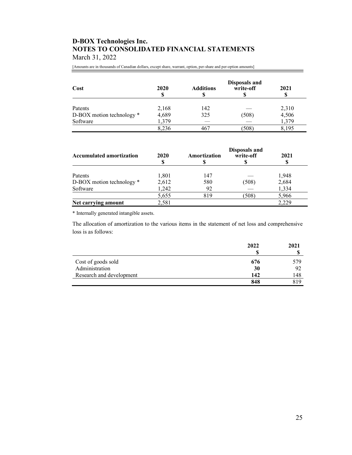[Amounts are in thousands of Canadian dollars, except share, warrant, option, per-share and per-option amounts]

| Cost                      | 2020  | <b>Additions</b> | Disposals and<br>write-off | 2021<br>S |
|---------------------------|-------|------------------|----------------------------|-----------|
| Patents                   | 2,168 | 142              |                            | 2,310     |
| D-BOX motion technology * | 4,689 | 325              | (508)                      | 4,506     |
| Software                  | 1,379 |                  |                            | 1,379     |
|                           | 8,236 | 467              | (508)                      | 8,195     |

| <b>Accumulated amortization</b> | 2020  | Amortization | Disposals and<br>write-off | 2021<br>S |
|---------------------------------|-------|--------------|----------------------------|-----------|
|                                 |       |              |                            |           |
| Patents                         | 1,801 | 147          |                            | 1,948     |
| D-BOX motion technology *       | 2,612 | 580          | (508)                      | 2,684     |
| Software                        | 1,242 | 92           |                            | 1,334     |
|                                 | 5,655 | 819          | (508)                      | 5,966     |
| Net carrying amount             | 2,581 |              |                            | 2.229     |

\* Internally generated intangible assets.

The allocation of amortization to the various items in the statement of net loss and comprehensive loss is as follows:

|                          | 2022 | 2021 |
|--------------------------|------|------|
|                          |      |      |
| Cost of goods sold       | 676  | 579  |
| Administration           | 30   | 92   |
| Research and development | 142  | 148  |
|                          | 848  | 819  |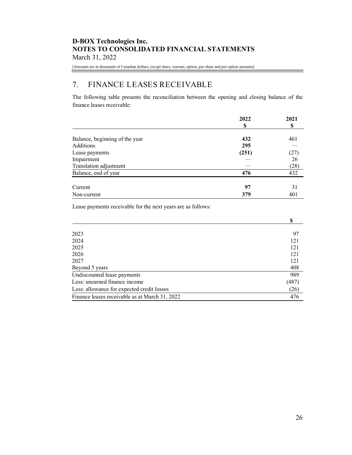[Amounts are in thousands of Canadian dollars, except share, warrant, option, per-share and per-option amounts]

# <span id="page-26-0"></span>7. FINANCE LEASES RECEIVABLE

The following table presents the reconciliation between the opening and closing balance of the finance leases receivable:

|                                | 2022  | 2021 |  |
|--------------------------------|-------|------|--|
|                                | \$    |      |  |
|                                |       |      |  |
| Balance, beginning of the year | 432   | 461  |  |
| Additions                      | 295   |      |  |
| Lease payments                 | (251) | (27) |  |
| Impairment                     |       | 26   |  |
| Translation adjustment         |       | (28) |  |
| Balance, end of year           | 476   | 432  |  |
|                                |       |      |  |
| Current                        | 97    | 31   |  |
| Non-current                    | 379   | 401  |  |

Lease payments receivable for the next years are as follows:

| 2023                                           | 97    |
|------------------------------------------------|-------|
| 2024                                           | 121   |
| 2025                                           | 121   |
| 2026                                           | 121   |
| 2027                                           | 121   |
| Beyond 5 years                                 | 408   |
| Undiscounted lease payments                    | 989   |
| Less: unearned finance income                  | (487) |
| Less: allowance for expected credit losses     | (26)  |
| Finance leases receivable as at March 31, 2022 | 476   |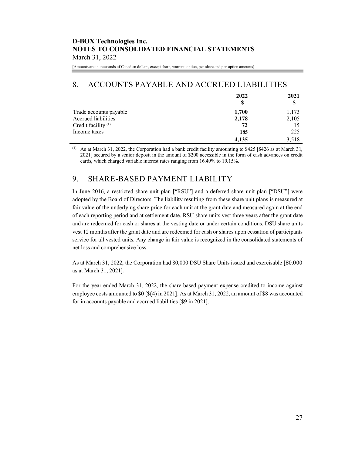[Amounts are in thousands of Canadian dollars, except share, warrant, option, per-share and per-option amounts]

# <span id="page-27-0"></span>8. ACCOUNTS PAYABLE AND ACCRUED LIABILITIES

|                                | 2022<br>\$ | 2021<br>\$ |
|--------------------------------|------------|------------|
| Trade accounts payable         | 1,700      | 1,173      |
| Accrued liabilities            | 2,178      | 2,105      |
| Credit facility <sup>(1)</sup> | 72         |            |
| Income taxes                   | 185        | 225        |
|                                | 4,135      | 3,518      |

(1) As at March 31, 2022, the Corporation had a bank credit facility amounting to \$425 [\$426 as at March 31, 2021] secured by a senior deposit in the amount of \$200 accessible in the form of cash advances on credit cards, which charged variable interest rates ranging from 16.49% to 19.15%.

# 9. SHARE-BASED PAYMENT LIABILITY

In June 2016, a restricted share unit plan ["RSU"] and a deferred share unit plan ["DSU"] were adopted by the Board of Directors. The liability resulting from these share unit plans is measured at fair value of the underlying share price for each unit at the grant date and measured again at the end of each reporting period and at settlement date. RSU share units vest three years after the grant date and are redeemed for cash or shares at the vesting date or under certain conditions. DSU share units vest 12 months after the grant date and are redeemed for cash or shares upon cessation of participants service for all vested units. Any change in fair value is recognized in the consolidated statements of net loss and comprehensive loss.

As at March 31, 2022, the Corporation had 80,000 DSU Share Units issued and exercisable [80,000 as at March 31, 2021].

For the year ended March 31, 2022, the share-based payment expense credited to income against employee costs amounted to \$0 [\$(4) in 2021]. As at March 31, 2022, an amount of \$8 was accounted for in accounts payable and accrued liabilities [\$9 in 2021].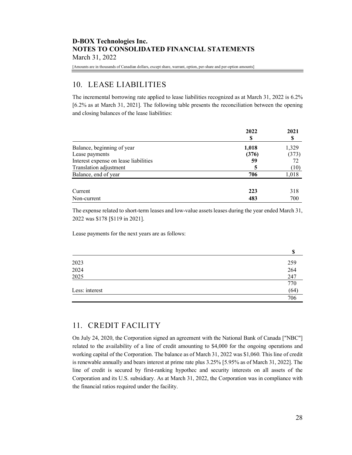[Amounts are in thousands of Canadian dollars, except share, warrant, option, per-share and per-option amounts]

# 10. LEASE LIABILITIES

The incremental borrowing rate applied to lease liabilities recognized as at March 31, 2022 is 6.2% [6.2% as at March 31, 2021]. The following table presents the reconciliation between the opening and closing balances of the lease liabilities:

|                                       | 2022<br>S | 2021<br>S |
|---------------------------------------|-----------|-----------|
| Balance, beginning of year            | 1,018     | 1,329     |
| Lease payments                        | (376)     | (373)     |
| Interest expense on lease liabilities | 59        | 72        |
| Translation adjustment                | 5         | (10)      |
| Balance, end of year                  | 706       | 1,018     |
| Current                               | 223       | 318       |
| Non-current                           | 483       | 700       |

The expense related to short-term leases and low-value assets leases during the year ended March 31, 2022 was \$178 [\$119 in 2021].

Lease payments for the next years are as follows:

|                      | 259  |
|----------------------|------|
|                      | 264  |
| 2023<br>2024<br>2025 | 247  |
|                      | 770  |
| Less: interest       | (64) |
|                      | 706  |

# 11. CREDIT FACILITY

On July 24, 2020, the Corporation signed an agreement with the National Bank of Canada ["NBC"] related to the availability of a line of credit amounting to \$4,000 for the ongoing operations and working capital of the Corporation. The balance as of March 31, 2022 was \$1,060. This line of credit is renewable annually and bears interest at prime rate plus 3.25% [5.95% as of March 31, 2022]. The line of credit is secured by first-ranking hypothec and security interests on all assets of the Corporation and its U.S. subsidiary. As at March 31, 2022, the Corporation was in compliance with the financial ratios required under the facility.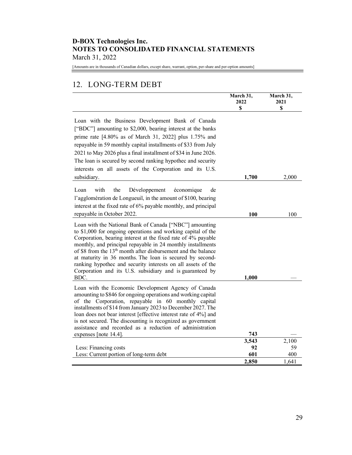[Amounts are in thousands of Canadian dollars, except share, warrant, option, per-share and per-option amounts]

# 12. LONG-TERM DEBT

|                                                                                                                                                                                                                                                                                                                                                                                                                                                                                                                                      | March 31,<br>2022<br>\$ | March 31,<br>2021<br>\$ |
|--------------------------------------------------------------------------------------------------------------------------------------------------------------------------------------------------------------------------------------------------------------------------------------------------------------------------------------------------------------------------------------------------------------------------------------------------------------------------------------------------------------------------------------|-------------------------|-------------------------|
| Loan with the Business Development Bank of Canada<br>["BDC"] amounting to \$2,000, bearing interest at the banks<br>prime rate [4.80% as of March 31, 2022] plus 1.75% and<br>repayable in 59 monthly capital installments of \$33 from July<br>2021 to May 2026 plus a final installment of \$34 in June 2026.<br>The loan is secured by second ranking hypothec and security<br>interests on all assets of the Corporation and its U.S.<br>subsidiary.                                                                             | 1,700                   | 2,000                   |
| with<br>the<br>Développement<br>Loan<br>économique<br>de<br>l'agglomération de Longueuil, in the amount of \$100, bearing<br>interest at the fixed rate of 6% payable monthly, and principal<br>repayable in October 2022.                                                                                                                                                                                                                                                                                                           | 100                     | 100                     |
| Loan with the National Bank of Canada ["NBC"] amounting<br>to \$1,000 for ongoing operations and working capital of the<br>Corporation, bearing interest at the fixed rate of 4% payable<br>monthly, and principal repayable in 24 monthly installments<br>of \$8 from the 13 <sup>th</sup> month after disbursement and the balance<br>at maturity in 36 months. The loan is secured by second-<br>ranking hypothec and security interests on all assets of the<br>Corporation and its U.S. subsidiary and is guaranteed by<br>BDC. | 1,000                   |                         |
| Loan with the Economic Development Agency of Canada<br>amounting to \$846 for ongoing operations and working capital<br>of the Corporation, repayable in 60 monthly capital<br>installments of \$14 from January 2023 to December 2027. The<br>loan does not bear interest [effective interest rate of 4%] and<br>is not secured. The discounting is recognized as government<br>assistance and recorded as a reduction of administration<br>expenses [note 14.4].                                                                   | 743                     |                         |
| Less: Financing costs                                                                                                                                                                                                                                                                                                                                                                                                                                                                                                                | 3,543<br>92             | 2,100<br>59             |
| Less: Current portion of long-term debt                                                                                                                                                                                                                                                                                                                                                                                                                                                                                              | 601<br>2,850            | 400<br>1,641            |
|                                                                                                                                                                                                                                                                                                                                                                                                                                                                                                                                      |                         |                         |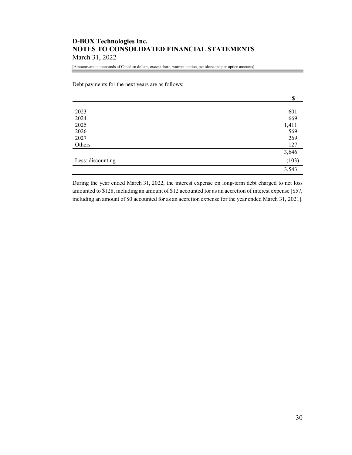[Amounts are in thousands of Canadian dollars, except share, warrant, option, per-share and per-option amounts]

Debt payments for the next years are as follows:

|                   | \$    |
|-------------------|-------|
|                   |       |
| 2023              | 601   |
| 2024              | 669   |
| 2025              | 1,411 |
| 2026              | 569   |
| 2027              | 269   |
| Others            | 127   |
|                   | 3,646 |
| Less: discounting | (103) |
|                   | 3,543 |

During the year ended March 31, 2022, the interest expense on long-term debt charged to net loss amounted to \$128, including an amount of \$12 accounted for as an accretion of interest expense [\$57, including an amount of \$0 accounted for as an accretion expense for the year ended March 31, 2021].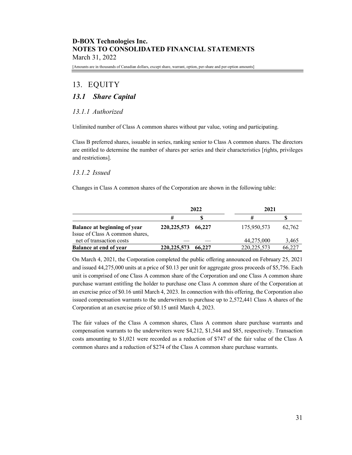[Amounts are in thousands of Canadian dollars, except share, warrant, option, per-share and per-option amounts]

# 13. EQUITY

## *13.1 Share Capital*

### *13.1.1 Authorized*

Unlimited number of Class A common shares without par value, voting and participating.

Class B preferred shares, issuable in series, ranking senior to Class A common shares. The directors are entitled to determine the number of shares per series and their characteristics [rights, privileges and restrictions].

### *13.1.2 Issued*

Changes in Class A common shares of the Corporation are shown in the following table:

|                                                                        | 2022                  |        | 2021          |        |
|------------------------------------------------------------------------|-----------------------|--------|---------------|--------|
|                                                                        | #                     |        | #             |        |
| <b>Balance at beginning of year</b><br>Issue of Class A common shares, | 220, 225, 573 66, 227 |        | 175,950,573   | 62.762 |
| net of transaction costs                                               |                       |        | 44,275,000    | 3,465  |
| <b>Balance at end of year</b>                                          | 220, 225, 573         | 66,227 | 220, 225, 573 | 66,227 |

On March 4, 2021, the Corporation completed the public offering announced on February 25, 2021 and issued 44,275,000 units at a price of \$0.13 per unit for aggregate gross proceeds of \$5,756. Each unit is comprised of one Class A common share of the Corporation and one Class A common share purchase warrant entitling the holder to purchase one Class A common share of the Corporation at an exercise price of \$0.16 until March 4, 2023. In connection with this offering, the Corporation also issued compensation warrants to the underwriters to purchase up to 2,572,441 Class A shares of the Corporation at an exercise price of \$0.15 until March 4, 2023.

The fair values of the Class A common shares, Class A common share purchase warrants and compensation warrants to the underwriters were \$4,212, \$1,544 and \$85, respectively. Transaction costs amounting to \$1,021 were recorded as a reduction of \$747 of the fair value of the Class A common shares and a reduction of \$274 of the Class A common share purchase warrants.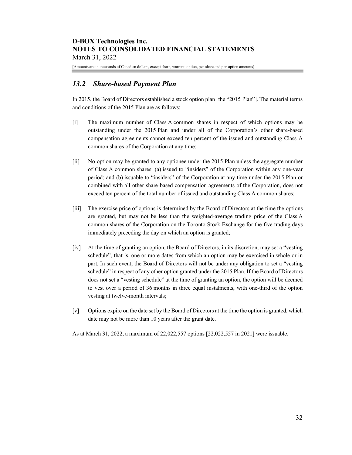[Amounts are in thousands of Canadian dollars, except share, warrant, option, per-share and per-option amounts]

# *13.2 Share-based Payment Plan*

In 2015, the Board of Directors established a stock option plan [the "2015 Plan"]. The material terms and conditions of the 2015 Plan are as follows:

- [i] The maximum number of Class A common shares in respect of which options may be outstanding under the 2015 Plan and under all of the Corporation's other share-based compensation agreements cannot exceed ten percent of the issued and outstanding Class A common shares of the Corporation at any time;
- [ii] No option may be granted to any optionee under the 2015 Plan unless the aggregate number of Class A common shares: (a) issued to "insiders" of the Corporation within any one-year period; and (b) issuable to "insiders" of the Corporation at any time under the 2015 Plan or combined with all other share-based compensation agreements of the Corporation, does not exceed ten percent of the total number of issued and outstanding Class A common shares;
- [iii] The exercise price of options is determined by the Board of Directors at the time the options are granted, but may not be less than the weighted-average trading price of the Class A common shares of the Corporation on the Toronto Stock Exchange for the five trading days immediately preceding the day on which an option is granted;
- [iv] At the time of granting an option, the Board of Directors, in its discretion, may set a "vesting schedule", that is, one or more dates from which an option may be exercised in whole or in part. In such event, the Board of Directors will not be under any obligation to set a "vesting schedule" in respect of any other option granted under the 2015 Plan. If the Board of Directors does not set a "vesting schedule" at the time of granting an option, the option will be deemed to vest over a period of 36 months in three equal instalments, with one-third of the option vesting at twelve-month intervals;
- [v] Options expire on the date set by the Board of Directors at the time the option is granted, which date may not be more than 10 years after the grant date.

As at March 31, 2022, a maximum of 22,022,557 options [22,022,557 in 2021] were issuable.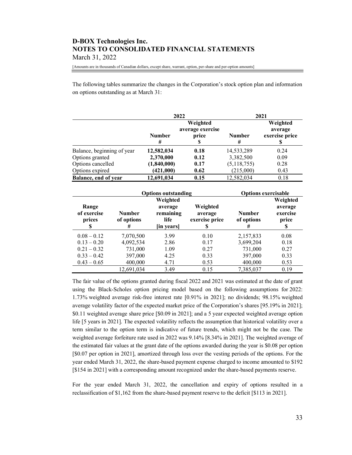[Amounts are in thousands of Canadian dollars, except share, warrant, option, per-share and per-option amounts]

The following tables summarize the changes in the Corporation's stock option plan and information on options outstanding as at March 31:

|                            | 2022                       |                                            |                    | 2021                                       |
|----------------------------|----------------------------|--------------------------------------------|--------------------|--------------------------------------------|
|                            | <b>Number</b><br>#         | Weighted<br>average exercise<br>price<br>S | <b>Number</b><br># | Weighted<br>average<br>exercise price<br>S |
| Balance, beginning of year | 12,582,034                 | 0.18                                       | 14,533,289         | 0.24                                       |
| Options granted            | 2,370,000                  | 0.12                                       | 3,382,500          | 0.09                                       |
| Options cancelled          | (1,840,000)                | 0.17                                       | (5, 118, 755)      | 0.28                                       |
| Options expired            | (421,000)                  | 0.62                                       | (215,000)          | 0.43                                       |
| Balance, end of year       | 12,691,034                 | 0.15                                       | 12,582,034         | 0.18                                       |
|                            | <b>Options outstanding</b> |                                            |                    | <b>Options exercisable</b>                 |
|                            | Weighted                   |                                            |                    | Weighted                                   |

| Range<br>of exercise<br>prices<br>S | <b>Number</b><br>of options<br># | Weighted<br>average<br>remaining<br>life<br>[in years] | Weighted<br>average<br>exercise price<br>S | <b>Number</b><br>of options<br># | Weighted<br>average<br>exercise<br>price<br>S |
|-------------------------------------|----------------------------------|--------------------------------------------------------|--------------------------------------------|----------------------------------|-----------------------------------------------|
| $0.08 - 0.12$                       | 7,070,500                        | 3.99                                                   | 0.10                                       | 2,157,833                        | 0.08                                          |
| $0.13 - 0.20$                       | 4,092,534                        | 2.86                                                   | 0.17                                       | 3,699,204                        | 0.18                                          |
| $0.21 - 0.32$                       | 731,000                          | 1.09                                                   | 0.27                                       | 731,000                          | 0.27                                          |
| $0.33 - 0.42$                       | 397,000                          | 4.25                                                   | 0.33                                       | 397,000                          | 0.33                                          |
| $0.43 - 0.65$                       | 400,000                          | 4.71                                                   | 0.53                                       | 400,000                          | 0.53                                          |
|                                     | 12,691,034                       | 3.49                                                   | 0.15                                       | 7,385,037                        | 0.19                                          |

The fair value of the options granted during fiscal 2022 and 2021 was estimated at the date of grant using the Black-Scholes option pricing model based on the following assumptions for 2022: 1.73% weighted average risk-free interest rate [0.91% in 2021]; no dividends; 98.15% weighted average volatility factor of the expected market price of the Corporation's shares [95.19% in 2021]; \$0.11 weighted average share price [\$0.09 in 2021]; and a 5 year expected weighted average option life [5 years in 2021]. The expected volatility reflects the assumption that historical volatility over a term similar to the option term is indicative of future trends, which might not be the case. The weighted average forfeiture rate used in 2022 was 9.14% [8.34% in 2021]. The weighted average of the estimated fair values at the grant date of the options awarded during the year is \$0.08 per option [\$0.07 per option in 2021], amortized through loss over the vesting periods of the options. For the year ended March 31, 2022, the share-based payment expense charged to income amounted to \$192 [\$154 in 2021] with a corresponding amount recognized under the share-based payments reserve.

For the year ended March 31, 2022, the cancellation and expiry of options resulted in a reclassification of \$1,162 from the share-based payment reserve to the deficit [\$113 in 2021].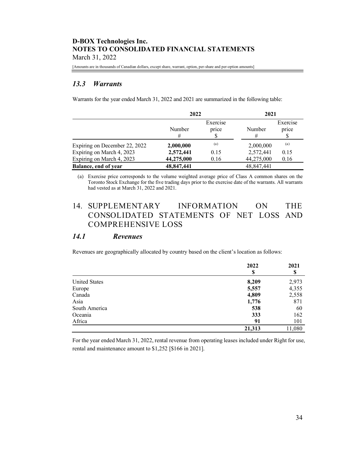[Amounts are in thousands of Canadian dollars, except share, warrant, option, per-share and per-option amounts]

# *13.3 Warrants*

Warrants for the year ended March 31, 2022 and 2021 are summarized in the following table:

|                               | 2022        |                   | 2021        |                   |
|-------------------------------|-------------|-------------------|-------------|-------------------|
|                               | Number<br># | Exercise<br>price | Number<br># | Exercise<br>price |
| Expiring on December 22, 2022 | 2,000,000   | (a)               | 2,000,000   | (a)               |
| Expiring on March 4, 2023     | 2,572,441   | 0.15              | 2,572,441   | 0.15              |
| Expiring on March 4, 2023     | 44,275,000  | 0.16              | 44,275,000  | 0.16              |
| Balance, end of year          | 48,847,441  |                   | 48,847,441  |                   |

(a) Exercise price corresponds to the volume weighted average price of Class A common shares on the Toronto Stock Exchange for the five trading days prior to the exercise date of the warrants. All warrants had vested as at March 31, 2022 and 2021.

# 14. SUPPLEMENTARY INFORMATION ON THE CONSOLIDATED STATEMENTS OF NET LOSS AND COMPREHENSIVE LOSS

## *14.1 Revenues*

Revenues are geographically allocated by country based on the client's location as follows:

|                      | 2022<br>\$ | 2021<br>S |
|----------------------|------------|-----------|
| <b>United States</b> | 8,209      | 2,973     |
| Europe               | 5,557      | 4,355     |
| Canada               | 4,809      | 2,558     |
| Asia                 | 1,776      | 871       |
| South America        | 538        | 60        |
| Oceania              | 333        | 162       |
| Africa               | 91         | 101       |
|                      | 21,313     | 11,080    |

For the year ended March 31, 2022, rental revenue from operating leases included under Right for use, rental and maintenance amount to \$1,252 [\$166 in 2021].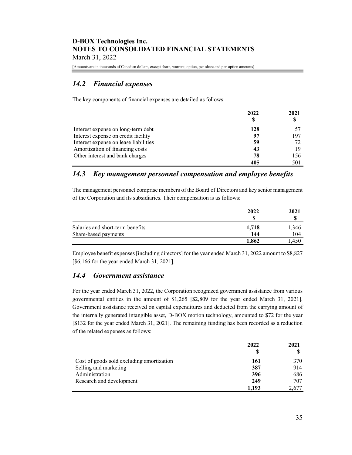[Amounts are in thousands of Canadian dollars, except share, warrant, option, per-share and per-option amounts]

# *14.2 Financial expenses*

The key components of financial expenses are detailed as follows:

|                                       | 2022 | 2021 |
|---------------------------------------|------|------|
|                                       |      |      |
| Interest expense on long-term debt    | 128  |      |
| Interest expense on credit facility   |      | 197  |
| Interest expense on lease liabilities | 59   |      |
| Amortization of financing costs       | 43   | 19   |
| Other interest and bank charges       | 78   | 156  |
|                                       | 405  | 501  |

# *14.3 Key management personnel compensation and employee benefits*

The management personnel comprise members of the Board of Directors and key senior management of the Corporation and its subsidiaries. Their compensation is as follows:

|                                  | 2022  | 2021  |
|----------------------------------|-------|-------|
|                                  |       |       |
| Salaries and short-term benefits | 1.718 | 1,346 |
| Share-based payments             | 144   | 104   |
|                                  | 1.862 | .450  |

Employee benefit expenses [including directors] for the year ended March 31, 2022 amount to \$8,827 [\$6,166 for the year ended March 31, 2021].

## *14.4 Government assistance*

For the year ended March 31, 2022, the Corporation recognized government assistance from various governmental entities in the amount of \$1,265 [\$2,809 for the year ended March 31, 2021]. Government assistance received on capital expenditures and deducted from the carrying amount of the internally generated intangible asset, D-BOX motion technology, amounted to \$72 for the year [\$132 for the year ended March 31, 2021]. The remaining funding has been recorded as a reduction of the related expenses as follows:

|                                           | 2022  | 2021 |
|-------------------------------------------|-------|------|
|                                           |       |      |
| Cost of goods sold excluding amortization | 161   | 370  |
| Selling and marketing                     | 387   | 914  |
| Administration                            | 396   | 686  |
| Research and development                  | 249   | 707  |
|                                           | 1.193 | 677  |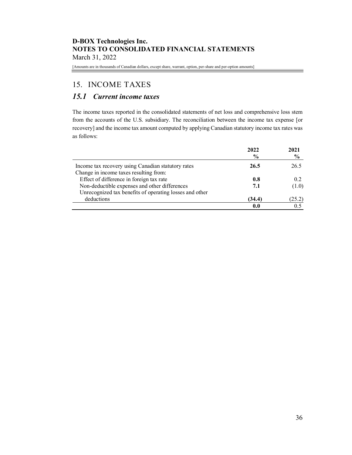[Amounts are in thousands of Canadian dollars, except share, warrant, option, per-share and per-option amounts]

# 15. INCOME TAXES

## *15.1 Current income taxes*

The income taxes reported in the consolidated statements of net loss and comprehensive loss stem from the accounts of the U.S. subsidiary. The reconciliation between the income tax expense [or recovery] and the income tax amount computed by applying Canadian statutory income tax rates was as follows:

|                                                         | 2022<br>$\frac{0}{0}$ | 2021<br>$\frac{6}{9}$ |
|---------------------------------------------------------|-----------------------|-----------------------|
| Income tax recovery using Canadian statutory rates      | 26.5                  | 26.5                  |
| Change in income taxes resulting from:                  |                       |                       |
| Effect of difference in foreign tax rate                | 0.8                   | $0.2^{\circ}$         |
| Non-deductible expenses and other differences           | 7.1                   | (1.0)                 |
| Unrecognized tax benefits of operating losses and other |                       |                       |
| deductions                                              | (34.4)                | (25.2)                |
|                                                         |                       |                       |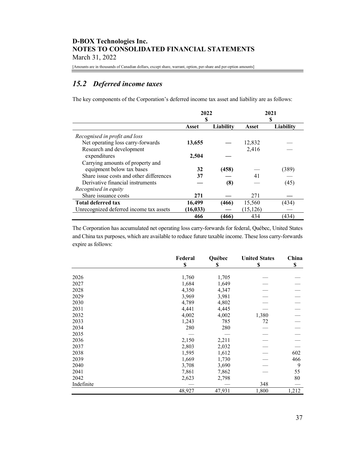[Amounts are in thousands of Canadian dollars, except share, warrant, option, per-share and per-option amounts]

# *15.2 Deferred income taxes*

The key components of the Corporation's deferred income tax asset and liability are as follows:

|                                         | 2022      |           | 2021      |           |
|-----------------------------------------|-----------|-----------|-----------|-----------|
|                                         | S         |           | S         |           |
|                                         | Asset     | Liability | Asset     | Liability |
| Recognised in profit and loss           |           |           |           |           |
| Net operating loss carry-forwards       | 13,655    |           | 12,832    |           |
| Research and development                |           |           | 2,416     |           |
| expenditures                            | 2,504     |           |           |           |
| Carrying amounts of property and        |           |           |           |           |
| equipment below tax bases               | 32        | (458)     |           | (389)     |
| Share issue costs and other differences | 37        |           | 41        |           |
| Derivative financial instruments        |           | (8)       |           | (45)      |
| Recognised in equity                    |           |           |           |           |
| Share issuance costs                    | 271       |           | 271       |           |
| <b>Total deferred tax</b>               | 16,499    | (466)     | 15,560    | (434)     |
| Unrecognized deferred income tax assets | (16, 033) |           | (15, 126) |           |
|                                         | 466       | (466)     | 434       | (434)     |

The Corporation has accumulated net operating loss carry-forwards for federal, Québec, United States and China tax purposes, which are available to reduce future taxable income. These loss carry-forwards expire as follows:

|            | Federal | Québec | <b>United States</b> | China |
|------------|---------|--------|----------------------|-------|
|            | \$      | \$     | \$                   | \$    |
|            |         |        |                      |       |
| 2026       | 1,760   | 1,705  |                      |       |
| 2027       | 1,684   | 1,649  |                      |       |
| 2028       | 4,350   | 4,347  |                      |       |
| 2029       | 3,969   | 3,981  |                      |       |
| 2030       | 4,789   | 4,802  |                      |       |
| 2031       | 4,441   | 4,445  |                      |       |
| 2032       | 4,002   | 4,002  | 1,380                |       |
| 2033       | 1,243   | 785    | 72                   |       |
| 2034       | 280     | 280    |                      |       |
| 2035       |         |        |                      |       |
| 2036       | 2,150   | 2,211  |                      |       |
| 2037       | 2,803   | 2,032  |                      |       |
| 2038       | 1,595   | 1,612  |                      | 602   |
| 2039       | 1,669   | 1,730  |                      | 466   |
| 2040       | 3,708   | 3,690  |                      | 9     |
| 2041       | 7,861   | 7,862  |                      | 55    |
| 2042       | 2,623   | 2,798  |                      | 80    |
| Indefinite |         |        | 348                  |       |
|            | 48,927  | 47,931 | 1,800                | 1,212 |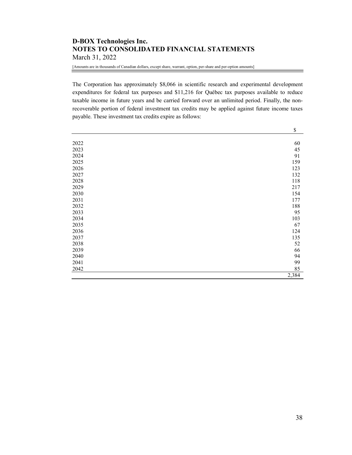[Amounts are in thousands of Canadian dollars, except share, warrant, option, per-share and per-option amounts]

The Corporation has approximately \$8,066 in scientific research and experimental development expenditures for federal tax purposes and \$11,216 for Québec tax purposes available to reduce taxable income in future years and be carried forward over an unlimited period. Finally, the nonrecoverable portion of federal investment tax credits may be applied against future income taxes payable. These investment tax credits expire as follows:

|      | \$    |
|------|-------|
|      |       |
| 2022 | 60    |
| 2023 | 45    |
| 2024 | 91    |
| 2025 | 159   |
| 2026 | 123   |
| 2027 | 132   |
| 2028 | 118   |
| 2029 | 217   |
| 2030 | 154   |
| 2031 | 177   |
| 2032 | 188   |
| 2033 | 95    |
| 2034 | 103   |
| 2035 | 67    |
| 2036 | 124   |
| 2037 | 135   |
| 2038 | 52    |
| 2039 | 66    |
| 2040 | 94    |
| 2041 | 99    |
| 2042 | 85    |
|      | 2,384 |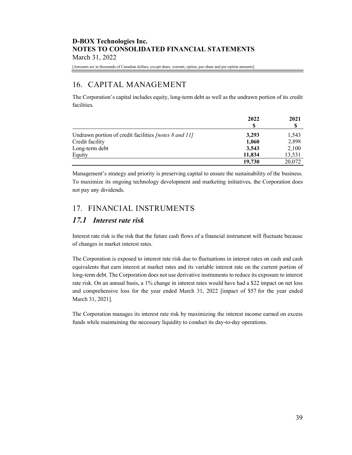[Amounts are in thousands of Canadian dollars, except share, warrant, option, per-share and per-option amounts]

# 16. CAPITAL MANAGEMENT

The Corporation's capital includes equity, long-term debt as well as the undrawn portion of its credit facilities.

|                                                       | 2022   | 2021   |
|-------------------------------------------------------|--------|--------|
| Undrawn portion of credit facilities [notes 8 and 11] | 3,293  | 1,543  |
| Credit facility                                       | 1,060  | 2,898  |
| Long-term debt                                        | 3,543  | 2,100  |
| Equity                                                | 11,834 | 13,531 |
|                                                       | 19,730 | 20,072 |

Management's strategy and priority is preserving capital to ensure the sustainability of the business. To maximize its ongoing technology development and marketing initiatives, the Corporation does not pay any dividends.

# 17. FINANCIAL INSTRUMENTS

# *17.1 Interest rate risk*

Interest rate risk is the risk that the future cash flows of a financial instrument will fluctuate because of changes in market interest rates.

The Corporation is exposed to interest rate risk due to fluctuations in interest rates on cash and cash equivalents that earn interest at market rates and its variable interest rate on the current portion of long-term debt. The Corporation does not use derivative instruments to reduce its exposure to interest rate risk. On an annual basis, a 1% change in interest rates would have had a \$22 impact on net loss and comprehensive loss for the year ended March 31, 2022 [impact of \$57 for the year ended March 31, 2021].

The Corporation manages its interest rate risk by maximizing the interest income earned on excess funds while maintaining the necessary liquidity to conduct its day-to-day operations.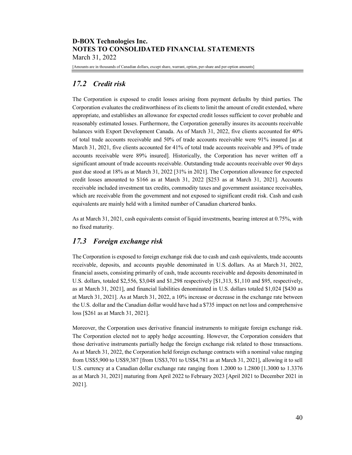[Amounts are in thousands of Canadian dollars, except share, warrant, option, per-share and per-option amounts]

# *17.2 Credit risk*

The Corporation is exposed to credit losses arising from payment defaults by third parties. The Corporation evaluates the creditworthiness of its clients to limit the amount of credit extended, where appropriate, and establishes an allowance for expected credit losses sufficient to cover probable and reasonably estimated losses. Furthermore, the Corporation generally insures its accounts receivable balances with Export Development Canada. As of March 31, 2022, five clients accounted for 40% of total trade accounts receivable and 50% of trade accounts receivable were 91% insured [as at March 31, 2021, five clients accounted for 41% of total trade accounts receivable and 39% of trade accounts receivable were 89% insured]. Historically, the Corporation has never written off a significant amount of trade accounts receivable. Outstanding trade accounts receivable over 90 days past due stood at 18% as at March 31, 2022 [31% in 2021]. The Corporation allowance for expected credit losses amounted to \$166 as at March 31, 2022 [\$253 as at March 31, 2021]. Accounts receivable included investment tax credits, commodity taxes and government assistance receivables, which are receivable from the government and not exposed to significant credit risk. Cash and cash equivalents are mainly held with a limited number of Canadian chartered banks.

As at March 31, 2021, cash equivalents consist of liquid investments, bearing interest at 0.75%, with no fixed maturity.

## *17.3 Foreign exchange risk*

The Corporation is exposed to foreign exchange risk due to cash and cash equivalents, trade accounts receivable, deposits, and accounts payable denominated in U.S. dollars. As at March 31, 2022, financial assets, consisting primarily of cash, trade accounts receivable and deposits denominated in U.S. dollars, totaled \$2,556, \$3,048 and \$1,298 respectively [\$1,313, \$1,110 and \$95, respectively, as at March 31, 2021], and financial liabilities denominated in U.S. dollars totaled \$1,024 [\$430 as at March 31, 2021]. As at March 31, 2022, a 10% increase or decrease in the exchange rate between the U.S. dollar and the Canadian dollar would have had a \$735 impact on net loss and comprehensive loss [\$261 as at March 31, 2021].

Moreover, the Corporation uses derivative financial instruments to mitigate foreign exchange risk. The Corporation elected not to apply hedge accounting. However, the Corporation considers that those derivative instruments partially hedge the foreign exchange risk related to those transactions. As at March 31, 2022, the Corporation held foreign exchange contracts with a nominal value ranging from US\$5,900 to US\$9,387 [from US\$3,701 to US\$4,781 as at March 31, 2021], allowing it to sell U.S. currency at a Canadian dollar exchange rate ranging from 1.2000 to 1.2800 [1.3000 to 1.3376 as at March 31, 2021] maturing from April 2022 to February 2023 [April 2021 to December 2021 in 2021].